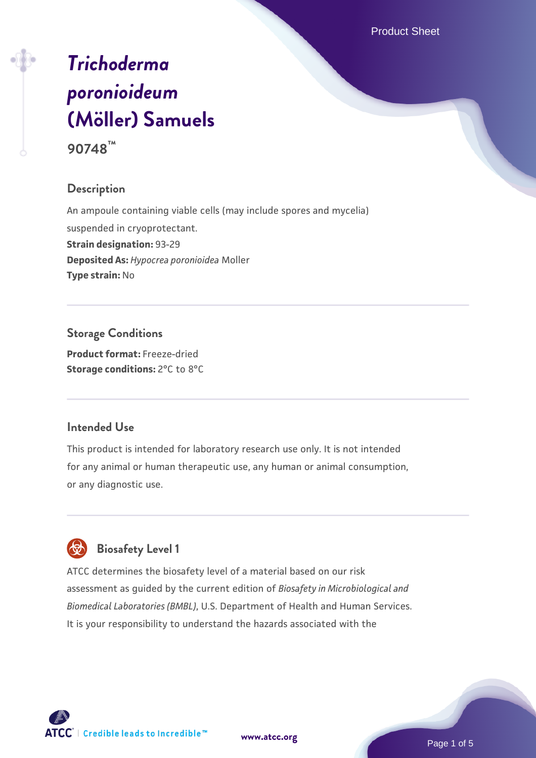Product Sheet

# *[Trichoderma](https://www.atcc.org/products/90748) [poronioideum](https://www.atcc.org/products/90748)* **[\(Möller\) Samuels](https://www.atcc.org/products/90748) 90748™**

# **Description**

An ampoule containing viable cells (may include spores and mycelia) suspended in cryoprotectant. **Strain designation:** 93-29 **Deposited As:** *Hypocrea poronioidea* Moller **Type strain:** No

**Storage Conditions Product format:** Freeze-dried **Storage conditions:** 2°C to 8°C

#### **Intended Use**

This product is intended for laboratory research use only. It is not intended for any animal or human therapeutic use, any human or animal consumption, or any diagnostic use.



ATCC determines the biosafety level of a material based on our risk assessment as guided by the current edition of *Biosafety in Microbiological and Biomedical Laboratories (BMBL)*, U.S. Department of Health and Human Services. It is your responsibility to understand the hazards associated with the



**[www.atcc.org](http://www.atcc.org)**

Page 1 of 5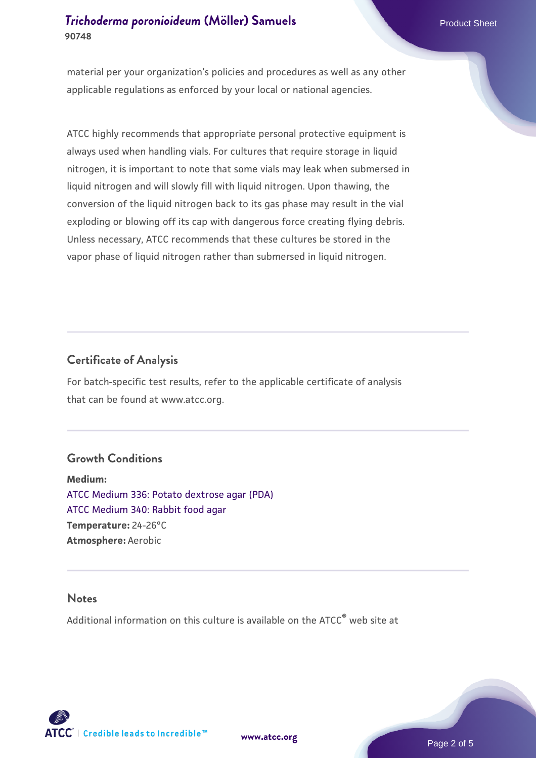### **[Trichoderma poronioideum](https://www.atcc.org/products/90748) [\(Möller\) Samuels](https://www.atcc.org/products/90748) Product Sheet** Product Sheet **90748**

material per your organization's policies and procedures as well as any other applicable regulations as enforced by your local or national agencies.

ATCC highly recommends that appropriate personal protective equipment is always used when handling vials. For cultures that require storage in liquid nitrogen, it is important to note that some vials may leak when submersed in liquid nitrogen and will slowly fill with liquid nitrogen. Upon thawing, the conversion of the liquid nitrogen back to its gas phase may result in the vial exploding or blowing off its cap with dangerous force creating flying debris. Unless necessary, ATCC recommends that these cultures be stored in the vapor phase of liquid nitrogen rather than submersed in liquid nitrogen.

#### **Certificate of Analysis**

For batch-specific test results, refer to the applicable certificate of analysis that can be found at www.atcc.org.

#### **Growth Conditions**

**Medium:**  [ATCC Medium 336: Potato dextrose agar \(PDA\)](https://www.atcc.org/-/media/product-assets/documents/microbial-media-formulations/3/3/6/atcc-medium-336.pdf?rev=d9160ad44d934cd8b65175461abbf3b9) [ATCC Medium 340: Rabbit food agar](https://www.atcc.org/-/media/product-assets/documents/microbial-media-formulations/3/4/0/atcc-medium-340.pdf?rev=254676f4d142497b89e898c48f4ebfc9) **Temperature:** 24-26°C **Atmosphere:** Aerobic

#### **Notes**

Additional information on this culture is available on the ATCC® web site at



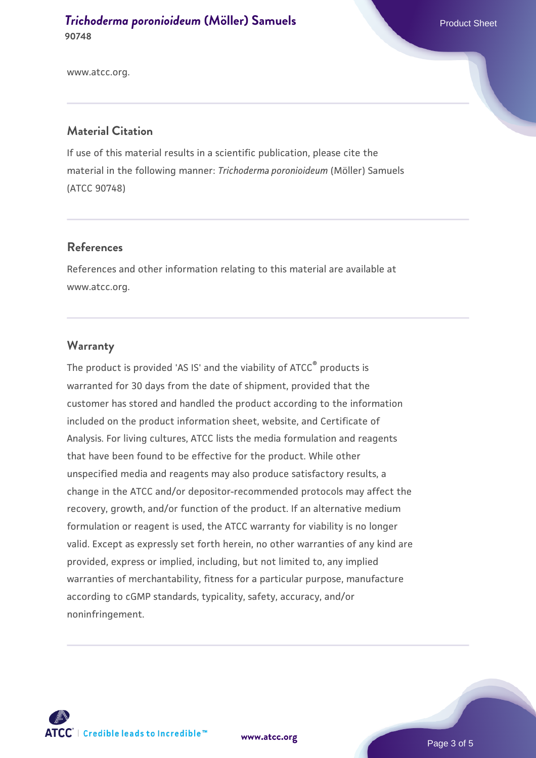**[Trichoderma poronioideum](https://www.atcc.org/products/90748) [\(Möller\) Samuels](https://www.atcc.org/products/90748) Product Sheet** Product Sheet **90748**

www.atcc.org.

#### **Material Citation**

If use of this material results in a scientific publication, please cite the material in the following manner: *Trichoderma poronioideum* (Möller) Samuels (ATCC 90748)

#### **References**

References and other information relating to this material are available at www.atcc.org.

#### **Warranty**

The product is provided 'AS IS' and the viability of ATCC<sup>®</sup> products is warranted for 30 days from the date of shipment, provided that the customer has stored and handled the product according to the information included on the product information sheet, website, and Certificate of Analysis. For living cultures, ATCC lists the media formulation and reagents that have been found to be effective for the product. While other unspecified media and reagents may also produce satisfactory results, a change in the ATCC and/or depositor-recommended protocols may affect the recovery, growth, and/or function of the product. If an alternative medium formulation or reagent is used, the ATCC warranty for viability is no longer valid. Except as expressly set forth herein, no other warranties of any kind are provided, express or implied, including, but not limited to, any implied warranties of merchantability, fitness for a particular purpose, manufacture according to cGMP standards, typicality, safety, accuracy, and/or noninfringement.



**[www.atcc.org](http://www.atcc.org)**

Page 3 of 5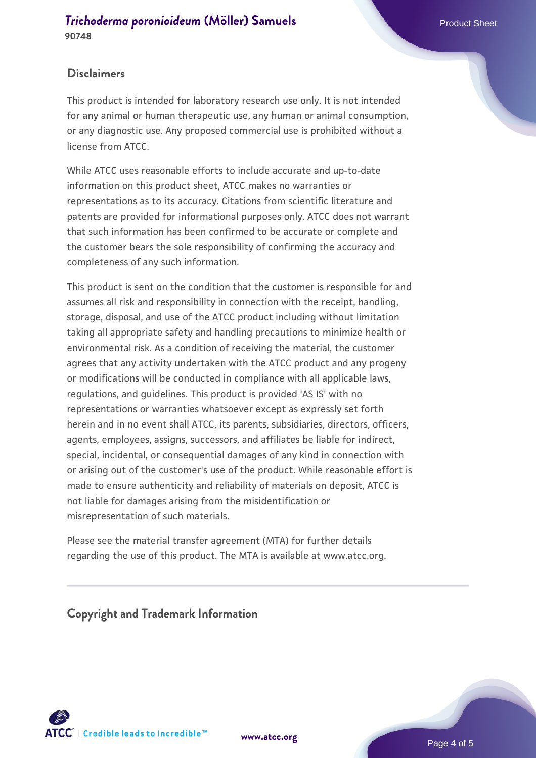# **Disclaimers**

This product is intended for laboratory research use only. It is not intended for any animal or human therapeutic use, any human or animal consumption, or any diagnostic use. Any proposed commercial use is prohibited without a license from ATCC.

While ATCC uses reasonable efforts to include accurate and up-to-date information on this product sheet, ATCC makes no warranties or representations as to its accuracy. Citations from scientific literature and patents are provided for informational purposes only. ATCC does not warrant that such information has been confirmed to be accurate or complete and the customer bears the sole responsibility of confirming the accuracy and completeness of any such information.

This product is sent on the condition that the customer is responsible for and assumes all risk and responsibility in connection with the receipt, handling, storage, disposal, and use of the ATCC product including without limitation taking all appropriate safety and handling precautions to minimize health or environmental risk. As a condition of receiving the material, the customer agrees that any activity undertaken with the ATCC product and any progeny or modifications will be conducted in compliance with all applicable laws, regulations, and guidelines. This product is provided 'AS IS' with no representations or warranties whatsoever except as expressly set forth herein and in no event shall ATCC, its parents, subsidiaries, directors, officers, agents, employees, assigns, successors, and affiliates be liable for indirect, special, incidental, or consequential damages of any kind in connection with or arising out of the customer's use of the product. While reasonable effort is made to ensure authenticity and reliability of materials on deposit, ATCC is not liable for damages arising from the misidentification or misrepresentation of such materials.

Please see the material transfer agreement (MTA) for further details regarding the use of this product. The MTA is available at www.atcc.org.

**Copyright and Trademark Information**